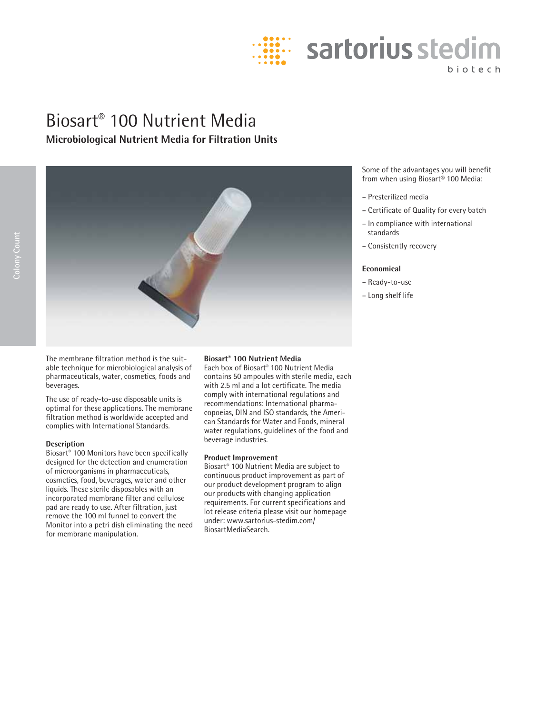

# Biosart® 100 Nutrient Media **Microbiological Nutrient Media for Filtration Units**



The membrane filtration method is the suitable technique for microbiological analysis of pharmaceuticals, water, cosmetics, foods and beverages.

The use of ready-to-use disposable units is optimal for these applications. The membrane filtration method is worldwide accepted and complies with International Standards.

#### **Description**

Biosart® 100 Monitors have been specifically designed for the detection and enumeration of microorganisms in pharmaceuticals, cosmetics, food, beverages, water and other liquids. These sterile disposables with an incorporated membrane filter and cellulose pad are ready to use. After filtration, just remove the 100 ml funnel to convert the Monitor into a petri dish eliminating the need for membrane manipulation.

### **Biosart® 100 Nutrient Media**

Each box of Biosart® 100 Nutrient Media contains 50 ampoules with sterile media, each with 2.5 ml and a lot certificate. The media comply with international regulations and recommendations: International pharmacopoeias, DIN and ISO standards, the American Standards for Water and Foods, mineral water regulations, guidelines of the food and beverage industries.

## **Product Improvement**

Biosart® 100 Nutrient Media are subject to continuous product improvement as part of our product development program to align our products with changing application requirements. For current specifications and lot release criteria please visit our homepage under: www.sartorius-stedim.com/ BiosartMediaSearch.

Some of the advantages you will benefit from when using Biosart® 100 Media:

- Presterilized media
- Certificate of Quality for every batch
- In compliance with international standards
- Consistently recovery

## **Economical**

- Ready-to-use
- Long shelf life